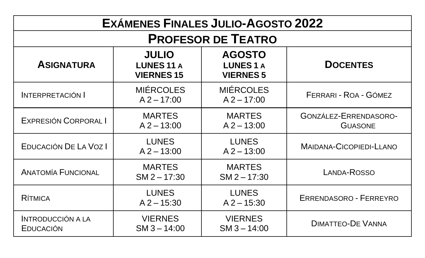| <b>EXÁMENES FINALES JULIO-AGOSTO 2022</b> |                                                        |                                                     |                                                |  |
|-------------------------------------------|--------------------------------------------------------|-----------------------------------------------------|------------------------------------------------|--|
|                                           |                                                        | <b>PROFESOR DE TEATRO</b>                           |                                                |  |
| <b>ASIGNATURA</b>                         | <b>JULIO</b><br><b>LUNES 11 A</b><br><b>VIERNES 15</b> | <b>AGOSTO</b><br><b>LUNES1A</b><br><b>VIERNES 5</b> | <b>DOCENTES</b>                                |  |
| <b>INTERPRETACIÓN I</b>                   | <b>MIÉRCOLES</b><br>$A$ 2 – 17:00                      | <b>MIÉRCOLES</b><br>$A$ 2 – 17:00                   | FERRARI - ROA - GÓMEZ                          |  |
| EXPRESIÓN CORPORAL I                      | <b>MARTES</b><br>$A$ 2 – 13:00                         | <b>MARTES</b><br>$A$ 2 – 13:00                      | <b>GONZÁLEZ-ERRENDASORO-</b><br><b>GUASONE</b> |  |
| EDUCACIÓN DE LA VOZ I                     | <b>LUNES</b><br>$A$ 2 – 13:00                          | <b>LUNES</b><br>$A$ 2 – 13:00                       | MAIDANA-CICOPIEDI-LLANO                        |  |
| <b>ANATOMÍA FUNCIONAL</b>                 | <b>MARTES</b><br>$SM 2 - 17:30$                        | <b>MARTES</b><br>$SM 2 - 17:30$                     | LANDA-ROSSO                                    |  |
| RÍTMICA                                   | <b>LUNES</b><br>$A$ 2 – 15:30                          | <b>LUNES</b><br>$A$ 2 - 15:30                       | <b>ERRENDASORO - FERREYRO</b>                  |  |
| <b>INTRODUCCIÓN A LA</b><br>EDUCACIÓN     | <b>VIERNES</b><br>$SM3 - 14:00$                        | <b>VIERNES</b><br>$SM3 - 14:00$                     | <b>DIMATTEO-DE VANNA</b>                       |  |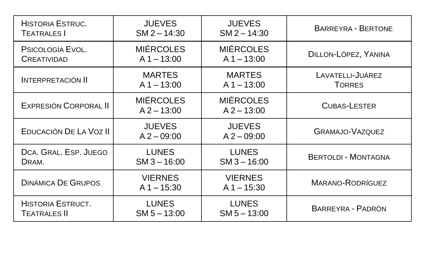| <b>HISTORIA ESTRUC.</b>   | <b>JUEVES</b>                     | <b>JUEVES</b>                     | <b>BARREYRA - BERTONE</b>  |
|---------------------------|-----------------------------------|-----------------------------------|----------------------------|
| TEATRALES I               | $SM 2 - 14:30$                    | $SM 2 - 14:30$                    |                            |
| PSICOLOGÍA EVOL.          | <b>MIÉRCOLES</b>                  | <b>MIÉRCOLES</b>                  | DILLON-LÓPEZ, YANINA       |
| <b>CREATIVIDAD</b>        | $A$ 1 – 13:00                     | $A$ 1 – 13:00                     |                            |
| <b>INTERPRETACIÓN II</b>  | <b>MARTES</b>                     | <b>MARTES</b>                     | LAVATELLI-JUÁREZ           |
|                           | $A$ 1 – 13:00                     | $A$ 1 – 13:00                     | <b>TORRES</b>              |
| EXPRESIÓN CORPORAL II     | <b>MIÉRCOLES</b><br>$A$ 2 – 13:00 | <b>MIÉRCOLES</b><br>$A$ 2 – 13:00 | <b>CUBAS-LESTER</b>        |
| EDUCACIÓN DE LA VOZ II    | <b>JUEVES</b><br>$A$ 2 – 09:00    | <b>JUEVES</b><br>$A$ 2 – 09:00    | <b>GRAMAJO-VAZQUEZ</b>     |
| DCA. GRAL. ESP. JUEGO     | <b>LUNES</b>                      | <b>LUNES</b>                      | <b>BERTOLDI - MONTAGNA</b> |
| DRAM.                     | $SM3 - 16:00$                     | $SM3 - 16:00$                     |                            |
| <b>DINÁMICA DE GRUPOS</b> | <b>VIERNES</b><br>$A$ 1 - 15:30   | <b>VIERNES</b><br>$A$ 1 – 15:30   | <b>MARANO-RODRÍGUEZ</b>    |
| <b>HISTORIA ESTRUCT.</b>  | <b>LUNES</b>                      | <b>LUNES</b>                      | BARREYRA - PADRÓN          |
| TEATRALES <b>II</b>       | $SM 5 - 13:00$                    | $SM 5 - 13:00$                    |                            |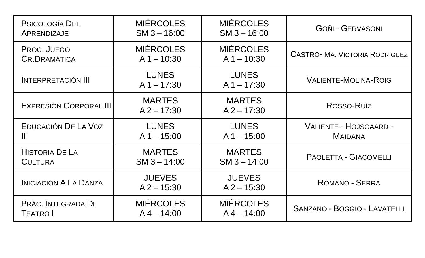| <b>PSICOLOGÍA DEL</b>        | <b>MIÉRCOLES</b>               | <b>MIÉRCOLES</b>               | GOÑI - GERVASONI                     |
|------------------------------|--------------------------------|--------------------------------|--------------------------------------|
| APRENDIZAJE                  | $SM3 - 16:00$                  | $SM3 - 16:00$                  |                                      |
| PROC. JUEGO                  | <b>MIÉRCOLES</b>               | <b>MIÉRCOLES</b>               | <b>CASTRO-MA. VICTORIA RODRIGUEZ</b> |
| <b>CR. DRAMÁTICA</b>         | $A = 10:30$                    | $A = 10:30$                    |                                      |
| <b>INTERPRETACIÓN III</b>    | <b>LUNES</b><br>$A$ 1 - 17:30  | <b>LUNES</b><br>$A$ 1 – 17:30  | <b>VALIENTE-MOLINA-ROIG</b>          |
| EXPRESIÓN CORPORAL III       | <b>MARTES</b><br>$A$ 2 – 17:30 | <b>MARTES</b><br>$A$ 2 – 17:30 | Rosso-Ruíz                           |
| EDUCACIÓN DE LA VOZ          | <b>LUNES</b>                   | <b>LUNES</b>                   | VALIENTE - HOJSGAARD -               |
| Ш                            | $A$ 1 – 15:00                  | $A$ 1 – 15:00                  | <b>MAIDANA</b>                       |
| <b>HISTORIA DE LA</b>        | <b>MARTES</b>                  | <b>MARTES</b>                  | PAOLETTA - GIACOMELLI                |
| <b>CULTURA</b>               | $SM3 - 14:00$                  | $SM3 - 14:00$                  |                                      |
| <b>INICIACIÓN A LA DANZA</b> | <b>JUEVES</b><br>$A$ 2 – 15:30 | <b>JUEVES</b><br>$A$ 2 – 15:30 | ROMANO - SERRA                       |
| PRÁC. INTEGRADA DE           | <b>MIÉRCOLES</b>               | <b>MIERCOLES</b>               | SANZANO - BOGGIO - LAVATELLI         |
| <b>TEATRO I</b>              | $A$ 4 – 14:00                  | $A$ 4 – 14:00                  |                                      |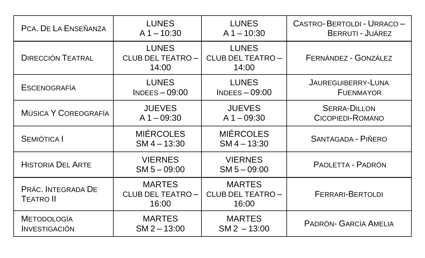| PCA. DE LA ENSEÑANZA                           | <b>LUNES</b>                                     | <b>LUNES</b>                                     | <b>CASTRO-BERTOLDI - URRACO -</b> |
|------------------------------------------------|--------------------------------------------------|--------------------------------------------------|-----------------------------------|
|                                                | $A = 10:30$                                      | $A$ 1 – 10:30                                    | BERRUTI - JUÁREZ                  |
| <b>DIRECCIÓN TEATRAL</b>                       | <b>LUNES</b><br><b>CLUB DEL TEATRO-</b><br>14:00 | <b>LUNES</b><br><b>CLUB DEL TEATRO-</b><br>14:00 | FERNÁNDEZ - GONZÁLEZ              |
| <b>ESCENOGRAFÍA</b>                            | <b>LUNES</b>                                     | <b>LUNES</b>                                     | <b>JAUREGUIBERRY-LUNA</b>         |
|                                                | $INDEX - 09:00$                                  | $INDEX - 09:00$                                  | <b>FUENMAYOR</b>                  |
| MÚSICA Y COREOGRAFÍA                           | <b>JUEVES</b>                                    | <b>JUEVES</b>                                    | <b>SERRA-DILLON</b>               |
|                                                | $A$ 1 $-$ 09:30                                  | $A$ 1 $-$ 09:30                                  | <b>CICOPIEDI-ROMANO</b>           |
| <b>SEMIÓTICA I</b>                             | <b>MIÉRCOLES</b><br>$SM 4 - 13:30$               | <b>MIÉRCOLES</b><br>$SM 4 - 13:30$               | <b>SANTAGADA - PIÑERO</b>         |
| <b>HISTORIA DEL ARTE</b>                       | <b>VIERNES</b><br>$SM 5 - 09:00$                 | <b>VIERNES</b><br>$SM 5 - 09:00$                 | PAOLETTA - PADRÓN                 |
| PRÁC. INTEGRADA DE<br><b>T</b> EATRO <b>II</b> | <b>MARTES</b><br>CLUB DEL TEATRO-<br>16:00       | <b>MARTES</b><br>CLUB DEL TEATRO-<br>16:00       | <b>FERRARI-BERTOLDI</b>           |
| <b>METODOLOGÍA</b>                             | <b>MARTES</b>                                    | <b>MARTES</b>                                    | PADRÓN- GARCÍA AMELIA             |
| <b>INVESTIGACIÓN</b>                           | $SM 2 - 13:00$                                   | $SM2 - 13:00$                                    |                                   |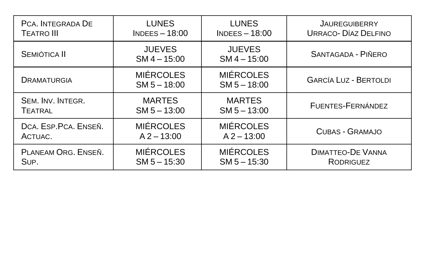| PCA. INTEGRADA DE     | <b>LUNES</b>                       | <b>LUNES</b>                       | <b>JAUREGUIBERRY</b>         |
|-----------------------|------------------------------------|------------------------------------|------------------------------|
| <b>TEATRO III</b>     | $INDEX - 18:00$                    | $INDEX - 18:00$                    | <b>URRACO- DÍAZ DELFINO</b>  |
| <b>SEMIÓTICA II</b>   | <b>JUEVES</b><br>$SM 4 - 15:00$    | <b>JUEVES</b><br>$SM 4 - 15:00$    | <b>SANTAGADA - PIÑERO</b>    |
| <b>DRAMATURGIA</b>    | <b>MIÉRCOLES</b><br>$SM 5 - 18:00$ | <b>MIÉRCOLES</b><br>$SM 5 - 18:00$ | <b>GARCÍA LUZ - BERTOLDI</b> |
| SEM. INV. INTEGR.     | <b>MARTES</b>                      | <b>MARTES</b>                      | FUENTES-FERNÁNDEZ            |
| <b>TEATRAL</b>        | $SM 5 - 13:00$                     | $SM 5 - 13:00$                     |                              |
| DCA. ESP. PCA. ENSEÑ. | <b>MIÉRCOLES</b>                   | <b>MIÉRCOLES</b>                   | <b>CUBAS - GRAMAJO</b>       |
| ACTUAC.               | $A$ 2 – 13:00                      | $A$ 2 – 13:00                      |                              |
| PLANEAM ORG. ENSEÑ.   | <b>MIÉRCOLES</b>                   | <b>MIÉRCOLES</b>                   | <b>DIMATTEO-DE VANNA</b>     |
| SUP.                  | $SM 5 - 15:30$                     | $SM 5 - 15:30$                     | <b>RODRIGUEZ</b>             |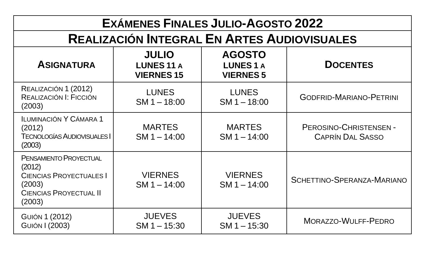| <b>EXÁMENES FINALES JULIO-AGOSTO 2022</b>                                                                               |                                                        |                                                     |                                                   |
|-------------------------------------------------------------------------------------------------------------------------|--------------------------------------------------------|-----------------------------------------------------|---------------------------------------------------|
|                                                                                                                         | <b>REALIZACIÓN INTEGRAL EN ARTES AUDIOVISUALES</b>     |                                                     |                                                   |
| <b>ASIGNATURA</b>                                                                                                       | <b>JULIO</b><br><b>LUNES 11 A</b><br><b>VIERNES 15</b> | <b>AGOSTO</b><br><b>LUNES1A</b><br><b>VIERNES 5</b> | <b>DOCENTES</b>                                   |
| REALIZACIÓN 1 (2012)<br>REALIZACIÓN I: FICCIÓN<br>(2003)                                                                | <b>LUNES</b><br>$SM 1 - 18:00$                         | <b>LUNES</b><br>$SM 1 - 18:00$                      | <b>GODFRID-MARIANO-PETRINI</b>                    |
| <b>ILUMINACIÓN Y CÁMARA 1</b><br>(2012)<br><b>TECNOLOGÍAS AUDIOVISUALES I</b><br>(2003)                                 | <b>MARTES</b><br>$SM 1 - 14:00$                        | <b>MARTES</b><br>$SM 1 - 14:00$                     | PEROSINO-CHRISTENSEN -<br><b>CAPRÍN DAL SASSO</b> |
| PENSAMIENTO PROYECTUAL<br>(2012)<br><b>CIENCIAS PROYECTUALES I</b><br>(2003)<br><b>CIENCIAS PROYECTUAL II</b><br>(2003) | <b>VIERNES</b><br>$SM 1 - 14:00$                       | <b>VIERNES</b><br>$SM 1 - 14:00$                    | SCHETTINO-SPERANZA-MARIANO                        |
| <b>GUIÓN 1 (2012)</b><br><b>GUIÓN I (2003)</b>                                                                          | <b>JUEVES</b><br>$SM 1 - 15:30$                        | <b>JUEVES</b><br>$SM 1 - 15:30$                     | MORAZZO-WULFF-PEDRO                               |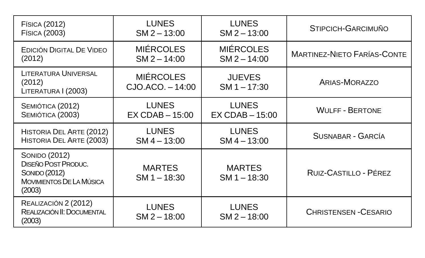| <b>FÍSICA (2012)</b>                                                                                             | <b>LUNES</b>                              | <b>LUNES</b>                    | STIPCICH-GARCIMUÑO                 |
|------------------------------------------------------------------------------------------------------------------|-------------------------------------------|---------------------------------|------------------------------------|
| <b>FÍSICA (2003)</b>                                                                                             | $SM 2 - 13:00$                            | $SM 2 - 13:00$                  |                                    |
| EDICIÓN DIGITAL DE VIDEO                                                                                         | <b>MIÉRCOLES</b>                          | <b>MIÉRCOLES</b>                | <b>MARTINEZ-NIETO FARÍAS-CONTE</b> |
| (2012)                                                                                                           | $SM 2 - 14:00$                            | $SM 2 - 14:00$                  |                                    |
| <b>LITERATURA UNIVERSAL</b><br>(2012)<br>LITERATURA I (2003)                                                     | <b>MIÉRCOLES</b><br>$CJO$ . ACO. $-14:00$ | <b>JUEVES</b><br>$SM 1 - 17:30$ | <b>ARIAS-MORAZZO</b>               |
| SEMIÓTICA (2012)                                                                                                 | <b>LUNES</b>                              | <b>LUNES</b>                    | <b>WULFF - BERTONE</b>             |
| SEMIÓTICA (2003)                                                                                                 | $EX CDAB - 15:00$                         | $EX CDAB - 15:00$               |                                    |
| HISTORIA DEL ARTE (2012)                                                                                         | <b>LUNES</b>                              | <b>LUNES</b>                    | <b>SUSNABAR - GARCÍA</b>           |
| HISTORIA DEL ARTE (2003)                                                                                         | $SM 4 - 13:00$                            | $SM 4 - 13:00$                  |                                    |
| <b>SONIDO (2012)</b><br><b>DISEÑO POST PRODUC.</b><br><b>SONIDO (2012)</b><br>MOVIMIENTOS DE LA MÚSICA<br>(2003) | <b>MARTES</b><br>$SM 1 - 18:30$           | <b>MARTES</b><br>$SM 1 - 18:30$ | RUIZ-CASTILLO - PÉREZ              |
| REALIZACIÓN 2 (2012)<br>REALIZACIÓN II: DOCUMENTAL<br>(2003)                                                     | <b>LUNES</b><br>$SM 2 - 18:00$            | <b>LUNES</b><br>$SM 2 - 18:00$  | <b>CHRISTENSEN-CESARIO</b>         |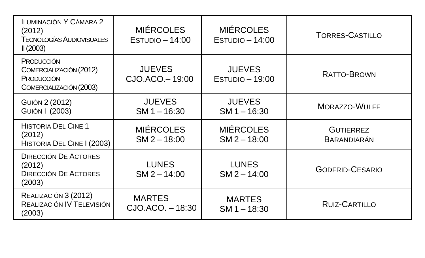| <b>ILUMINACIÓN Y CÁMARA 2</b><br>(2012)<br><b>TECNOLOGÍAS AUDIOVISUALES</b><br>II(2003)      | <b>MIÉRCOLES</b><br>$ESTUDIO - 14:00$ | <b>MIÉRCOLES</b><br>$ESTUDIO - 14:00$ | <b>TORRES-CASTILLO</b>                 |
|----------------------------------------------------------------------------------------------|---------------------------------------|---------------------------------------|----------------------------------------|
| <b>PRODUCCIÓN</b><br>COMERCIALIZACIÓN (2012)<br><b>PRODUCCIÓN</b><br>COMERCIALIZACIÓN (2003) | <b>JUEVES</b><br>CJO.ACO. - 19:00     | <b>JUEVES</b><br>$ESTUDD - 19:00$     | RATTO-BROWN                            |
| <b>GUIÓN 2 (2012)</b><br><b>GUIÓN II (2003)</b>                                              | <b>JUEVES</b><br>$SM 1 - 16:30$       | <b>JUEVES</b><br>$SM 1 - 16:30$       | <b>MORAZZO-WULFF</b>                   |
| <b>HISTORIA DEL CINE 1</b><br>(2012)<br>HISTORIA DEL CINE I (2003)                           | <b>MIÉRCOLES</b><br>$SM 2 - 18:00$    | <b>MIÉRCOLES</b><br>$SM 2 - 18:00$    | <b>GUTIERREZ</b><br><b>BARANDIARÁN</b> |
| <b>DIRECCIÓN DE ACTORES</b><br>(2012)<br><b>DIRECCIÓN DE ACTORES</b><br>(2003)               | <b>LUNES</b><br>$SM 2 - 14:00$        | <b>LUNES</b><br>$SM 2 - 14:00$        | <b>GODFRID-CESARIO</b>                 |
| REALIZACIÓN 3 (2012)<br>REALIZACIÓN IV TELEVISIÓN<br>(2003)                                  | <b>MARTES</b><br>CJO.ACO. - 18:30     | <b>MARTES</b><br>$SM 1 - 18:30$       | RUIZ-CARTILLO                          |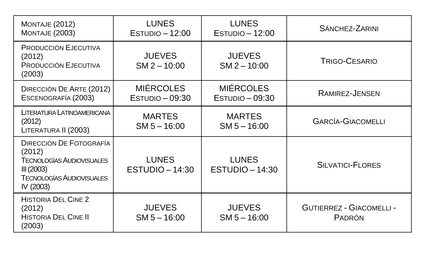| MONTAJE (2012)<br>MONTAJE (2003)                                                                                                            | <b>LUNES</b><br>$Estu$ DIO $-12:00$   | <b>LUNES</b><br>$Estu$ DIO $-12:00$   | <b>SÁNCHEZ-ZARINI</b>                     |
|---------------------------------------------------------------------------------------------------------------------------------------------|---------------------------------------|---------------------------------------|-------------------------------------------|
| <b>PRODUCCIÓN EJECUTIVA</b><br>(2012)<br><b>PRODUCCIÓN EJECUTIVA</b><br>(2003)                                                              | <b>JUEVES</b><br>$SM 2 - 10:00$       | <b>JUEVES</b><br>$SM 2 - 10:00$       | <b>TRIGO-CESARIO</b>                      |
| DIRECCIÓN DE ARTE (2012)<br>ESCENOGRAFÍA (2003)                                                                                             | <b>MIÉRCOLES</b><br>$ESTUDIO - 09:30$ | <b>MIÉRCOLES</b><br>$ESTUDIO - 09:30$ | RAMIREZ-JENSEN                            |
| LITERATURA LATINOAMERICANA<br>(2012)<br>LITERATURA II (2003)                                                                                | <b>MARTES</b><br>$SM 5 - 16:00$       | <b>MARTES</b><br>$SM 5 - 16:00$       | <b>GARCÍA-GIACOMELLI</b>                  |
| <b>DIRECCIÓN DE FOTOGRAFÍA</b><br>(2012)<br><b>TECNOLOGÍAS AUDIOVISUALES</b><br>III (2003)<br><b>TECNOLOGÍAS AUDIOVISUALES</b><br>IV (2003) | <b>LUNES</b><br>$ESTUDIO-14:30$       | <b>LUNES</b><br>$ESTUDIO-14:30$       | <b>SILVATICI-FLORES</b>                   |
| <b>HISTORIA DEL CINE 2</b><br>(2012)<br><b>HISTORIA DEL CINE II</b><br>(2003)                                                               | <b>JUEVES</b><br>$SM 5 - 16:00$       | <b>JUEVES</b><br>$SM 5 - 16:00$       | <b>GUTIERREZ - GIACOMELLI -</b><br>PADRÓN |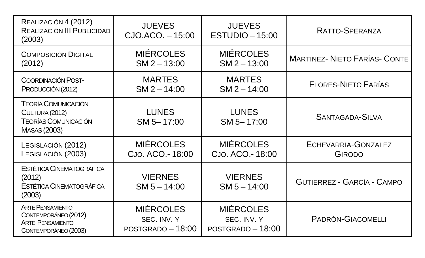| REALIZACIÓN 4 (2012)<br>REALIZACIÓN III PUBLICIDAD<br>(2003)                                       | <b>JUEVES</b><br>CJO.ACO. - 15:00                    | <b>JUEVES</b><br>$ESTUDIO-15:00$                   | RATTO-SPERANZA                       |
|----------------------------------------------------------------------------------------------------|------------------------------------------------------|----------------------------------------------------|--------------------------------------|
| <b>COMPOSICIÓN DIGITAL</b><br>(2012)                                                               | <b>MIÉRCOLES</b><br>$SM 2 - 13:00$                   | <b>MIÉRCOLES</b><br>$SM 2 - 13:00$                 | <b>MARTINEZ- NIETO FARÍAS- CONTE</b> |
| COORDINACIÓN POST-<br>PRODUCCIÓN (2012)                                                            | <b>MARTES</b><br>$SM 2 - 14:00$                      | <b>MARTES</b><br>$SM 2 - 14:00$                    | <b>FLORES-NIETO FARÍAS</b>           |
| <b>TEORÍA COMUNICACIÓN</b><br>CULTURA (2012)<br><b>TEORÍAS COMUNICACIÓN</b><br><b>MASAS (2003)</b> | <b>LUNES</b><br>SM 5-17:00                           | <b>LUNES</b><br>SM 5-17:00                         | <b>SANTAGADA-SILVA</b>               |
| LEGISLACIÓN (2012)<br>LEGISLACIÓN (2003)                                                           | <b>MIÉRCOLES</b><br>CJO. ACO. - 18:00                | <b>MIÉRCOLES</b><br>CJO. ACO - 18:00               | ECHEVARRIA-GONZALEZ<br><b>GIRODO</b> |
| ESTÉTICA CINEMATOGRÁFICA<br>(2012)<br><b>ESTÉTICA CINEMATOGRÁFICA</b><br>(2003)                    | <b>VIERNES</b><br>$SM 5 - 14:00$                     | <b>VIERNES</b><br>$SM 5 - 14:00$                   | GUTIERREZ - GARCÍA - CAMPO           |
| <b>ARTE PENSAMIENTO</b><br>CONTEMPORÁNEO (2012)<br><b>ARTE PENSAMIENTO</b><br>CONTEMPORÁNEO (2003) | <b>MIÉRCOLES</b><br>SEC. INV. Y<br>POSTGRADO - 18:00 | <b>MIERCOLES</b><br>SEC INV Y<br>POSTGRADO - 18:00 | PADRÓN-GIACOMELLI                    |